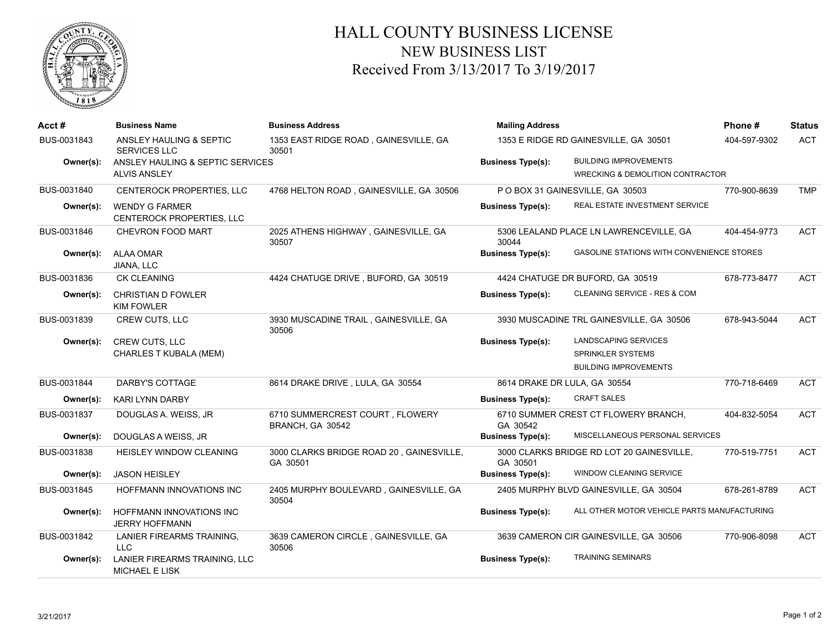

## HALL COUNTY BUSINESS LICENSE NEW BUSINESS LIST Received From 3/13/2017 To 3/19/2017

| Acct#       | <b>Business Name</b>                                   | <b>Business Address</b>                              | <b>Mailing Address</b>                |                                             | Phone#       | <b>Status</b> |
|-------------|--------------------------------------------------------|------------------------------------------------------|---------------------------------------|---------------------------------------------|--------------|---------------|
| BUS-0031843 | ANSLEY HAULING & SEPTIC<br><b>SERVICES LLC</b>         | 1353 EAST RIDGE ROAD, GAINESVILLE, GA<br>30501       | 1353 E RIDGE RD GAINESVILLE, GA 30501 |                                             | 404-597-9302 | <b>ACT</b>    |
| Owner(s):   | ANSLEY HAULING & SEPTIC SERVICES                       |                                                      | <b>Business Type(s):</b>              | <b>BUILDING IMPROVEMENTS</b>                |              |               |
|             | <b>ALVIS ANSLEY</b>                                    |                                                      |                                       | <b>WRECKING &amp; DEMOLITION CONTRACTOR</b> |              |               |
| BUS-0031840 | CENTEROCK PROPERTIES, LLC                              | 4768 HELTON ROAD, GAINESVILLE, GA 30506              |                                       | P O BOX 31 GAINESVILLE, GA 30503            | 770-900-8639 | <b>TMP</b>    |
| Owner(s):   | <b>WENDY G FARMER</b><br>CENTEROCK PROPERTIES, LLC     |                                                      | <b>Business Type(s):</b>              | REAL ESTATE INVESTMENT SERVICE              |              |               |
| BUS-0031846 | CHEVRON FOOD MART                                      | 2025 ATHENS HIGHWAY, GAINESVILLE, GA<br>30507        | 30044                                 | 5306 LEALAND PLACE LN LAWRENCEVILLE, GA     | 404-454-9773 | <b>ACT</b>    |
| Owner(s):   | <b>ALAA OMAR</b><br>JIANA, LLC                         |                                                      | <b>Business Type(s):</b>              | GASOLINE STATIONS WITH CONVENIENCE STORES   |              |               |
| BUS-0031836 | <b>CK CLEANING</b>                                     | 4424 CHATUGE DRIVE, BUFORD, GA 30519                 |                                       | 4424 CHATUGE DR BUFORD, GA 30519            | 678-773-8477 | <b>ACT</b>    |
| Owner(s):   | <b>CHRISTIAN D FOWLER</b><br><b>KIM FOWLER</b>         |                                                      | <b>Business Type(s):</b>              | CLEANING SERVICE - RES & COM                |              |               |
| BUS-0031839 | CREW CUTS, LLC                                         | 3930 MUSCADINE TRAIL, GAINESVILLE, GA<br>30506       |                                       | 3930 MUSCADINE TRL GAINESVILLE, GA 30506    | 678-943-5044 | <b>ACT</b>    |
| Owner(s):   | <b>CREW CUTS, LLC</b>                                  |                                                      | <b>Business Type(s):</b>              | LANDSCAPING SERVICES                        |              |               |
|             | CHARLES T KUBALA (MEM)                                 |                                                      |                                       | <b>SPRINKLER SYSTEMS</b>                    |              |               |
|             |                                                        |                                                      |                                       | <b>BUILDING IMPROVEMENTS</b>                |              |               |
| BUS-0031844 | DARBY'S COTTAGE                                        | 8614 DRAKE DRIVE, LULA, GA 30554                     | 8614 DRAKE DR LULA, GA 30554          |                                             | 770-718-6469 | <b>ACT</b>    |
| Owner(s):   | <b>KARI LYNN DARBY</b>                                 |                                                      | <b>Business Type(s):</b>              | <b>CRAFT SALES</b>                          |              |               |
| BUS-0031837 | DOUGLAS A. WEISS, JR                                   | 6710 SUMMERCREST COURT, FLOWERY<br>BRANCH, GA 30542  | GA 30542                              | 6710 SUMMER CREST CT FLOWERY BRANCH,        | 404-832-5054 | <b>ACT</b>    |
| Owner(s):   | DOUGLAS A WEISS, JR                                    |                                                      | <b>Business Type(s):</b>              | MISCELLANEOUS PERSONAL SERVICES             |              |               |
| BUS-0031838 | <b>HEISLEY WINDOW CLEANING</b>                         | 3000 CLARKS BRIDGE ROAD 20, GAINESVILLE,<br>GA 30501 | GA 30501                              | 3000 CLARKS BRIDGE RD LOT 20 GAINESVILLE,   | 770-519-7751 | <b>ACT</b>    |
| Owner(s):   | <b>JASON HEISLEY</b>                                   |                                                      | <b>Business Type(s):</b>              | WINDOW CLEANING SERVICE                     |              |               |
| BUS-0031845 | HOFFMANN INNOVATIONS INC                               | 2405 MURPHY BOULEVARD, GAINESVILLE, GA<br>30504      |                                       | 2405 MURPHY BLVD GAINESVILLE, GA 30504      | 678-261-8789 | <b>ACT</b>    |
| Owner(s):   | HOFFMANN INNOVATIONS INC<br><b>JERRY HOFFMANN</b>      |                                                      | <b>Business Type(s):</b>              | ALL OTHER MOTOR VEHICLE PARTS MANUFACTURING |              |               |
| BUS-0031842 | LANIER FIREARMS TRAINING.<br>LLC.                      | 3639 CAMERON CIRCLE, GAINESVILLE, GA<br>30506        |                                       | 3639 CAMERON CIR GAINESVILLE, GA 30506      | 770-906-8098 | <b>ACT</b>    |
| Owner(s):   | LANIER FIREARMS TRAINING, LLC<br><b>MICHAEL E LISK</b> |                                                      | <b>Business Type(s):</b>              | <b>TRAINING SEMINARS</b>                    |              |               |